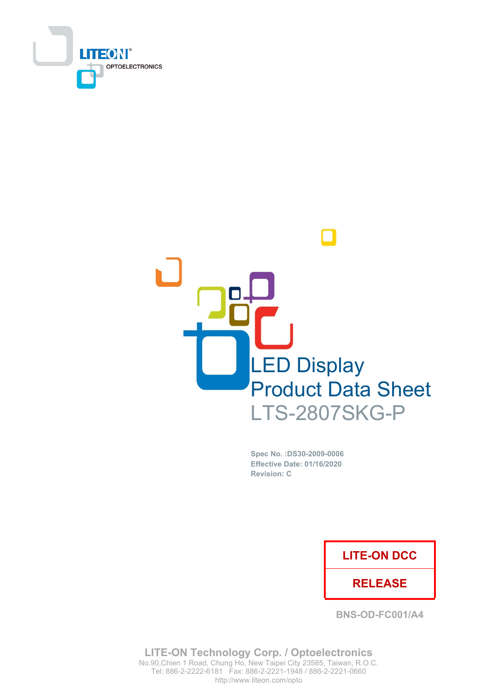



Spec No. : DS30-2009-0006 Effective Date: 01/16/2020 **Revision: C** 

### **LITE-ON DCC**

### **RELEASE**

**BNS-OD-FC001/A4** 

**LITE-ON Technology Corp. / Optoelectronics** No.90, Chien 1 Road, Chung Ho, New Taipei City 23585, Taiwan, R.O.C. Tel: 886-2-2222-6181 Fax: 886-2-2221-1948 / 886-2-2221-0660 http://www.liteon.com/opto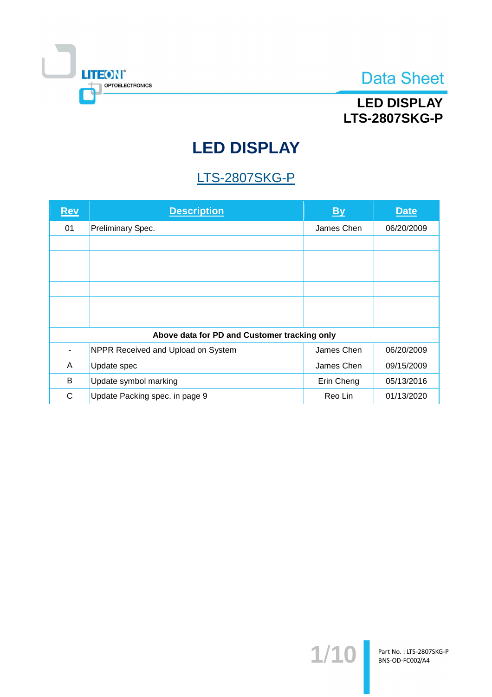

## **LED DISPLAY LTS-2807SKG-P**

# **LED DISPLAY**

## **LTS-2807SKG-P**

| <b>Rev</b> | <b>Description</b>                           | $\mathbf{B}$ | <b>Date</b> |
|------------|----------------------------------------------|--------------|-------------|
| 01         | Preliminary Spec.                            | James Chen   | 06/20/2009  |
|            |                                              |              |             |
|            |                                              |              |             |
|            |                                              |              |             |
|            |                                              |              |             |
|            |                                              |              |             |
|            |                                              |              |             |
|            | Above data for PD and Customer tracking only |              |             |
|            | NPPR Received and Upload on System           | James Chen   | 06/20/2009  |
| A          | Update spec                                  | James Chen   | 09/15/2009  |
| B          | Update symbol marking                        | Erin Cheng   | 05/13/2016  |
| C          | Update Packing spec. in page 9               | Reo Lin      | 01/13/2020  |

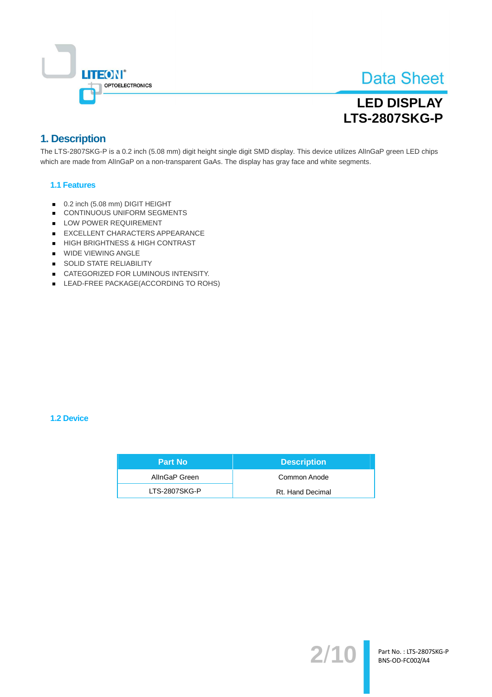

## **LED DISPLAY LTS-2807SKG-P**

### 1. Description

The LTS-2807SKG-P is a 0.2 inch (5.08 mm) digit height single digit SMD display. This device utilizes AllnGaP green LED chips which are made from AllnGaP on a non-transparent GaAs. The display has gray face and white segments.

#### **1.1 Features**

- 0.2 inch (5.08 mm) DIGIT HEIGHT
- CONTINUOUS UNIFORM SEGMENTS
- LOW POWER REQUIREMENT
- EXCELLENT CHARACTERS APPEARANCE
- HIGH BRIGHTNESS & HIGH CONTRAST
- **WIDE VIEWING ANGLE**
- SOLID STATE RELIABILITY
- CATEGORIZED FOR LUMINOUS INTENSITY.
- LEAD-FREE PACKAGE(ACCORDING TO ROHS)

#### **1.2 Device**

| <b>Part No</b> | <b>Description</b> |
|----------------|--------------------|
| AllnGaP Green  | Common Anode       |
| LTS-2807SKG-P  | Rt. Hand Decimal   |

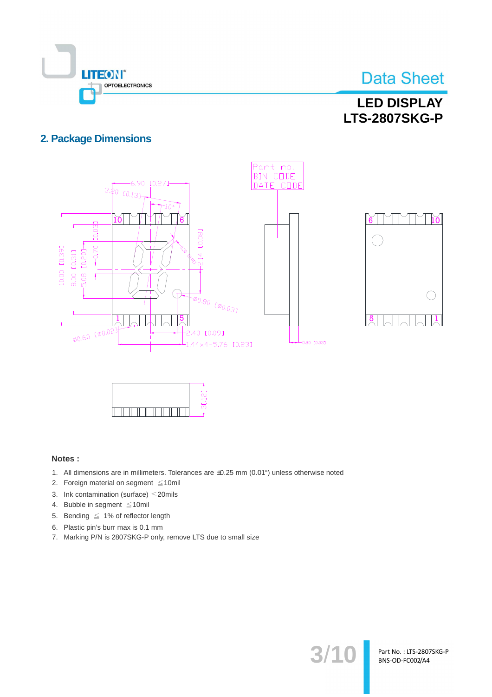

 $\bigcap$ 

Part No.: LTS-2807SKG-P BNS-OD-FC002/A4

### **LED DISPLAY LTS-2807SKG-P**

### **2. Package Dimensions**





#### Notes:

- 1. All dimensions are in millimeters. Tolerances are ±0.25 mm (0.01") unless otherwise noted
- 2. Foreign material on segment ≤10mil
- 3. Ink contamination (surface)  $\leq$  20mils
- 4. Bubble in segment ≤10mil
- 5. Bending  $\leq 1\%$  of reflector length
- 6. Plastic pin's burr max is 0.1 mm
- 7. Marking P/N is 2807SKG-P only, remove LTS due to small size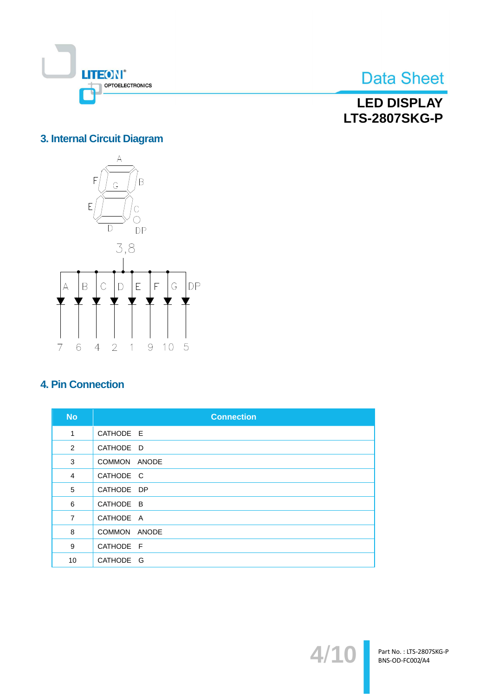

**LED DISPLAY LTS-2807SKG-P** 

### 3. Internal Circuit Diagram



### **4. Pin Connection**

| <b>No</b>      | <b>Connection</b>   |
|----------------|---------------------|
| 1              | CATHODE E           |
| 2              | CATHODE D           |
| 3              | COMMON ANODE        |
| $\overline{4}$ | CATHODE C           |
| 5              | CATHODE DP          |
| 6              | CATHODE B           |
| $\overline{7}$ | CATHODE A           |
| 8              | COMMON ANODE        |
| 9              | CATHODE F           |
| 10             | <b>CATHODE</b><br>G |

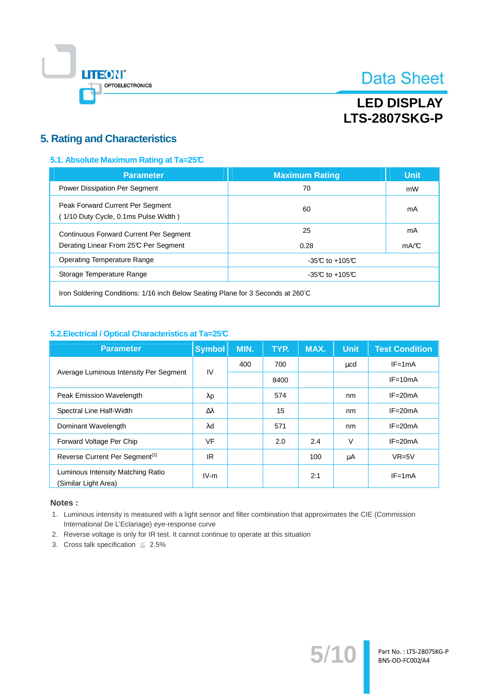

## **LED DISPLAY LTS-2807SKG-P**

### **5. Rating and Characteristics**

#### 5.1. Absolute Maximum Rating at Ta=25°C

| <b>Parameter</b>                                                                       | <b>Maximum Rating</b> | <b>Unit</b> |
|----------------------------------------------------------------------------------------|-----------------------|-------------|
| Power Dissipation Per Segment                                                          | 70                    | mW          |
| Peak Forward Current Per Segment<br>(1/10 Duty Cycle, 0.1ms Pulse Width)               | 60                    | mA          |
| <b>Continuous Forward Current Per Segment</b><br>Derating Linear From 25°C Per Segment | 25<br>0.28            | mA<br>mA/C  |
| <b>Operating Temperature Range</b>                                                     | -35 $C$ to +105 $C$   |             |
| Storage Temperature Range                                                              | -35 $C$ to +105 $C$   |             |
|                                                                                        |                       |             |

Iron Soldering Conditions: 1/16 inch Below Seating Plane for 3 Seconds at 260°C

#### 5.2. Electrical / Optical Characteristics at Ta=25°C

| <b>Parameter</b>                                          | <b>Symbol</b>    | MIN. | TYP. | MAX. | <b>Unit</b> | <b>Test Condition</b> |
|-----------------------------------------------------------|------------------|------|------|------|-------------|-----------------------|
| Average Luminous Intensity Per Segment                    | IV               | 400  | 700  |      | $\mu$ cd    | $IF = 1mA$            |
|                                                           |                  |      | 8400 |      |             | $IF = 10mA$           |
| Peak Emission Wavelength                                  | $\lambda$ p      |      | 574  |      | nm          | $IF = 20mA$           |
| Spectral Line Half-Width                                  | $\Delta \lambda$ |      | 15   |      | nm          | $IF = 20mA$           |
| Dominant Wavelength                                       | λd               |      | 571  |      | nm          | $IF = 20mA$           |
| Forward Voltage Per Chip                                  | VF               |      | 2.0  | 2.4  | $\vee$      | $IF = 20mA$           |
| Reverse Current Per Segment <sup>(2)</sup>                | IR.              |      |      | 100  | μA          | $VR=5V$               |
| Luminous Intensity Matching Ratio<br>(Similar Light Area) | $IV-m$           |      |      | 2:1  |             | $IF = 1mA$            |

#### Notes:

1. Luminous intensity is measured with a light sensor and filter combination that approximates the CIE (Commission International De L'Eclariage) eye-response curve

 $5/$ 

Part No.: LTS-2807SKG-P BNS-OD-FC002/A4

- 2. Reverse voltage is only for IR test. It cannot continue to operate at this situation
- 3. Cross talk specification  $\leq 2.5\%$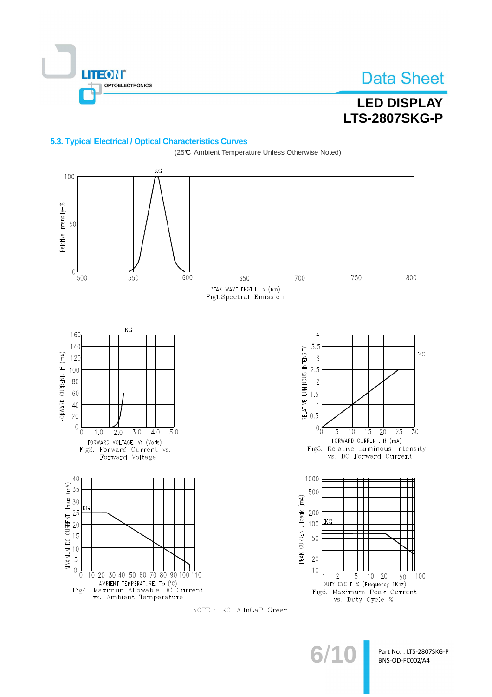

## **LED DISPLAY LTS-2807SKG-P**

#### 5.3. Typical Electrical / Optical Characteristics Curves



NOTE : KG=AllnGaP Green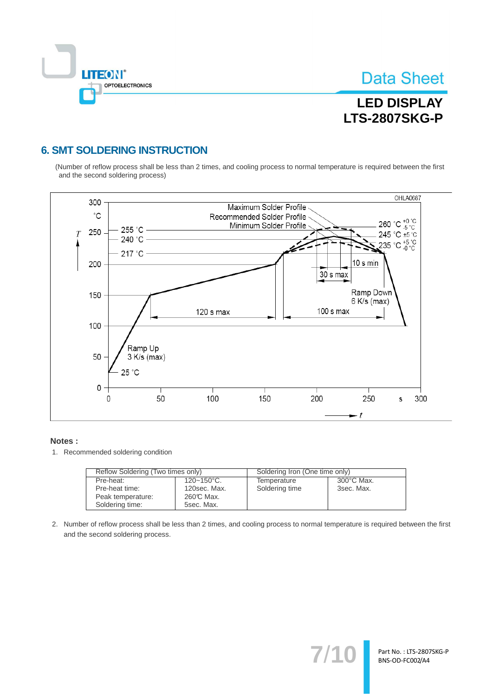

## **LED DISPLAY LTS-2807SKG-P**

### **6. SMT SOLDERING INSTRUCTION**

(Number of reflow process shall be less than 2 times, and cooling process to normal temperature is required between the first and the second soldering process)



#### Notes:

1. Recommended soldering condition

| Reflow Soldering (Two times only) |                        | Soldering Iron (One time only) |                      |  |
|-----------------------------------|------------------------|--------------------------------|----------------------|--|
| Pre-heat:                         | $120 - 150^{\circ}$ C. | Temperature                    | $300^{\circ}$ C Max. |  |
| Pre-heat time:                    | 120sec. Max.           | Soldering time                 | 3sec. Max.           |  |
| Peak temperature:                 | 260℃ Max.              |                                |                      |  |
| Soldering time:                   | 5sec. Max.             |                                |                      |  |

2. Number of reflow process shall be less than 2 times, and cooling process to normal temperature is required between the first and the second soldering process.

 $7'$ 

Part No.: LTS-2807SKG-P BNS-OD-FC002/A4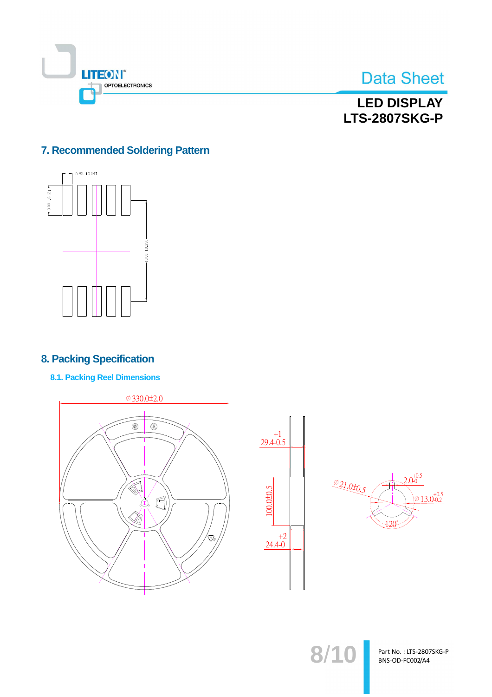



**LED DISPLAY LTS-2807SKG-P** 

### 7. Recommended Soldering Pattern



### **8. Packing Specification**

**8.1. Packing Reel Dimensions** 





 $8/10$ 

Part No.: LTS-2807SKG-P BNS-OD-FC002/A4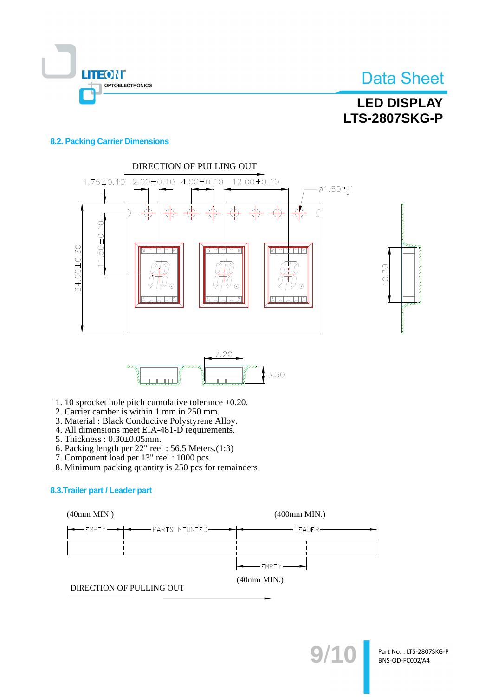

## **LED DISPLAY LTS-2807SKG-P**

#### **8.2. Packing Carrier Dimensions**







- 1. 10 sprocket hole pitch cumulative tolerance  $\pm 0.20$ .
- 2. Carrier camber is within 1 mm in 250 mm.
- 3. Material: Black Conductive Polystyrene Alloy.
- 4. All dimensions meet EIA-481-D requirements.
- 5. Thickness: 0.30±0.05mm.
- 6. Packing length per  $22$ " reel: 56.5 Meters.(1:3)
- 7. Component load per 13" reel : 1000 pcs.
- 8. Minimum packing quantity is 250 pcs for remainders

#### 8.3. Trailer part / Leader part